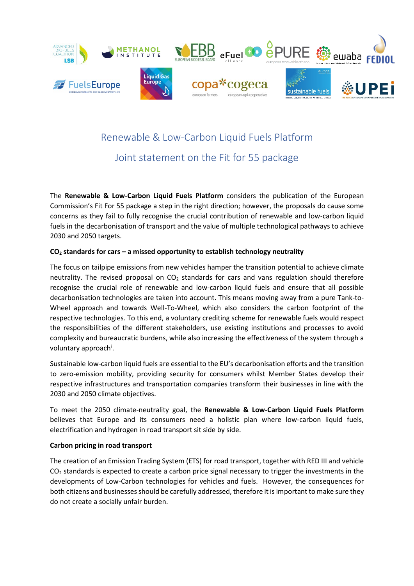

# Renewable & Low-Carbon Liquid Fuels Platform

# Joint statement on the Fit for 55 package

The **Renewable & Low-Carbon Liquid Fuels Platform** considers the publication of the European Commission's Fit For 55 package a step in the right direction; however, the proposals do cause some concerns as they fail to fully recognise the crucial contribution of renewable and low-carbon liquid fuels in the decarbonisation of transport and the value of multiple technological pathways to achieve 2030 and 2050 targets.

## **CO2 standards for cars – a missed opportunity to establish technology neutrality**

The focus on tailpipe emissions from new vehicles hamper the transition potential to achieve climate neutrality. The revised proposal on  $CO<sub>2</sub>$  standards for cars and vans regulation should therefore recognise the crucial role of renewable and low-carbon liquid fuels and ensure that all possible decarbonisation technologies are taken into account. This means moving away from a pure Tank-to-Wheel approach and towards Well-To-Wheel, which also considers the carbon footprint of the respective technologies. To this end, a voluntary crediting scheme for renewable fuels would respect the responsibilities of the different stakeholders, use existing institutions and processes to avoid complexity and bureaucratic burdens, while also increasing the effectiveness of the system through a voluntary approach<sup>[i](#page-1-0)</sup>.

Sustainable low-carbon liquid fuels are essential to the EU's decarbonisation efforts and the transition to zero-emission mobility, providing security for consumers whilst Member States develop their respective infrastructures and transportation companies transform their businesses in line with the 2030 and 2050 climate objectives.

To meet the 2050 climate-neutrality goal, the **Renewable & Low-Carbon Liquid Fuels Platform** believes that Europe and its consumers need a holistic plan where low-carbon liquid fuels, electrification and hydrogen in road transport sit side by side.

## **Carbon pricing in road transport**

The creation of an Emission Trading System (ETS) for road transport, together with RED III and vehicle  $CO<sub>2</sub>$  standards is expected to create a carbon price signal necessary to trigger the investments in the developments of Low-Carbon technologies for vehicles and fuels. However, the consequences for both citizens and businesses should be carefully addressed, therefore it is important to make sure they do not create a socially unfair burden.